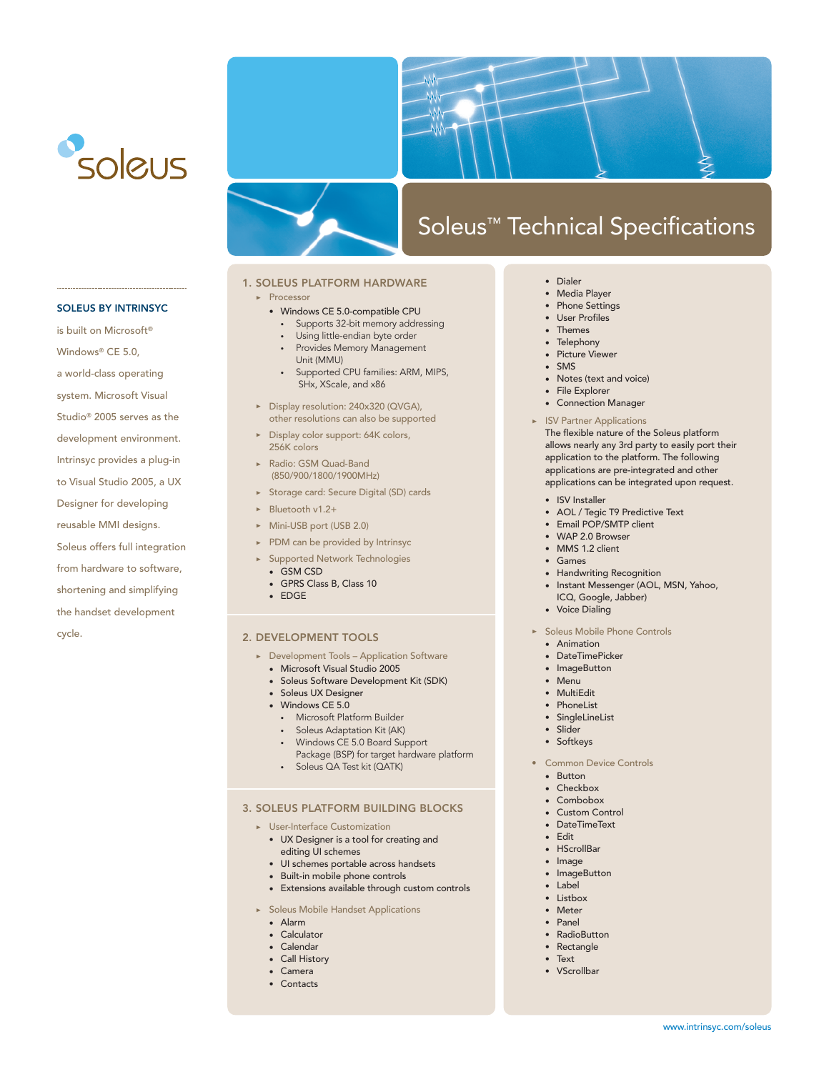



# Soleus™ Technical Specifications

# 1. SOLEUS PLATFORM HARDWARE

## • Processor

- Windows CE 5.0-compatible CPU
- Supports 32-bit memory addressing
- Using little-endian byte order
- Provides Memory Management Unit (MMU)
- Supported CPU families: ARM, MIPS, SHx, XScale, and x86
- Display resolution: 240x320 (QVGA), other resolutions can also be supported
- Display color support: 64K colors, 256K colors
- Radio: GSM Quad-Band (850/900/1800/1900MHz)
- Storage card: Secure Digital (SD) cards
- Bluetooth v1.2+
- Mini-USB port (USB 2.0)
- PDM can be provided by Intrinsyc
- Supported Network Technologies
	- GSM CSD
	- GPRS Class B, Class 10
- EDGE

#### 2. DEVELOPMENT TOOLS

- Development Tools Application Software
	- Microsoft Visual Studio 2005
	- Soleus Software Development Kit (SDK)
	- Soleus UX Designer
	- Windows CE 5.0
		- Microsoft Platform Builder
		- Soleus Adaptation Kit (AK)
		- Windows CE 5.0 Board Support Package (BSP) for target hardware platform
		- Soleus QA Test kit (QATK)

## 3. SOLEUS PLATFORM BUILDING BLOCKS

- User-Interface Customization
	- UX Designer is a tool for creating and editing UI schemes
	- UI schemes portable across handsets
	- Built-in mobile phone controls
	- Extensions available through custom controls
- Soleus Mobile Handset Applications
	- Alarm
	- Calculator
	- Calendar
	- Call History
	- Camera
	- Contacts
- Dialer
- Media Player
- Phone Settings
- User Profiles
- Themes
- Telephony • Picture Viewer
- SMS
- Notes (text and voice)
- File Explorer
- Connection Manager
- ISV Partner Applications

The flexible nature of the Soleus platform allows nearly any 3rd party to easily port their application to the platform. The following applications are pre-integrated and other applications can be integrated upon request.

- ISV Installer
- AOL / Tegic T9 Predictive Text
- Email POP/SMTP client
- WAP 2.0 Browser
- $\bullet$  MMS 1.2 client
- Games
- Handwriting Recognition
- Instant Messenger (AOL, MSN, Yahoo, ICQ, Google, Jabber)
- Voice Dialing
- Soleus Mobile Phone Controls
	- Animation
	- DateTimePicker
	- ImageButton
	- Menu
	- MultiEdit
	- PhoneList
	- SingleLineList
	- Slider
	- Softkeys
- Common Device Controls
	- Button
	- Checkbox
	- Combobox
	- Custom Control
	- DateTimeText
	- Edit
	- HScrollBar
	- Image
	- ImageButton
	- Label
	- Listbox
	- Meter
	- Panel
	- RadioButton
	- Rectangle
	- Text
	- VScrollbar

#### SOLEUS BY INTRINSYC

is built on Microsoft® Windows® CE 5.0, a world-class operating system. Microsoft Visual Studio® 2005 serves as the development environment. Intrinsyc provides a plug-in to Visual Studio 2005, a UX Designer for developing reusable MMI designs. Soleus offers full integration from hardware to software, shortening and simplifying the handset development cycle.